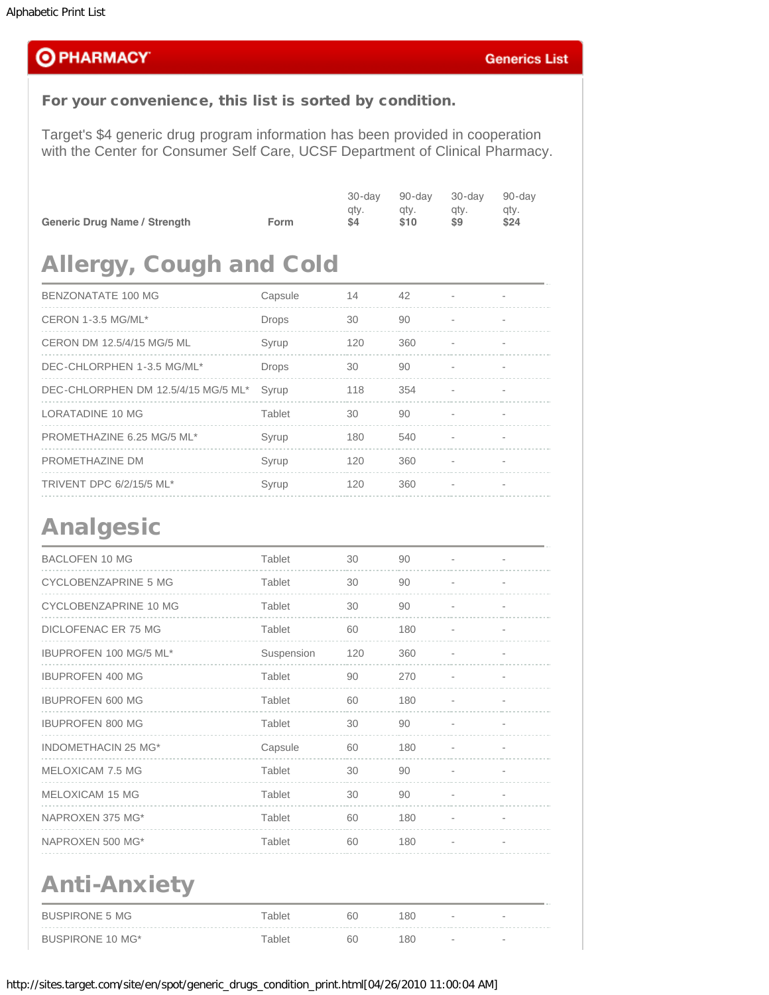### **OPHARMACY**

### For your convenience, this list is sorted by condition.

Target's \$4 generic drug program information has been provided in cooperation with the Center for Consumer Self Care, UCSF Department of Clinical Pharmacy.

|                                     |      | 30-dav<br>gty. | 90-dav<br>gty. | 30-dav<br>gty. | 90-day<br>atv. |
|-------------------------------------|------|----------------|----------------|----------------|----------------|
| <b>Generic Drug Name / Strength</b> | Form | S4             | \$10           | S9             | \$24           |

### Allergy, Cough and Cold

| BENZONATATE 100 MG                  | Capsule      | 14  | 42  |  |
|-------------------------------------|--------------|-----|-----|--|
| CERON 1-3.5 MG/ML*                  | <b>Drops</b> | 30  | 90  |  |
| CERON DM 12.5/4/15 MG/5 ML          | Syrup        | 120 | 360 |  |
| DEC-CHLORPHEN 1-3.5 MG/ML*          | <b>Drops</b> | 30  | 90  |  |
| DEC-CHLORPHEN DM 12.5/4/15 MG/5 ML* | Syrup        | 118 | 354 |  |
| LORATADINE 10 MG                    | Tablet       | 30  | 90  |  |
| PROMETHAZINE 6.25 MG/5 ML*          | Syrup        | 180 | 540 |  |
| PROMETHAZINE DM                     | Syrup        | 120 | 360 |  |
| TRIVENT DPC 6/2/15/5 ML*            | Syrup        | 120 | 360 |  |

### Analgesic

| <b>BACLOFEN 10 MG</b>       | Tablet     | 30  | 90  |                          |
|-----------------------------|------------|-----|-----|--------------------------|
| <b>CYCLOBENZAPRINE 5 MG</b> | Tablet     | 30  | 90  |                          |
| CYCLOBENZAPRINE 10 MG       | Tablet     | 30  | 90  |                          |
| DICLOFENAC ER 75 MG         | Tablet     | 60  | 180 |                          |
| IBUPROFEN 100 MG/5 ML*      | Suspension | 120 | 360 |                          |
| <b>IBUPROFEN 400 MG</b>     | Tablet     | 90  | 270 | $\overline{\phantom{0}}$ |
| <b>IBUPROFEN 600 MG</b>     | Tablet     | 60  | 180 |                          |
| <b>IBUPROFEN 800 MG</b>     | Tablet     | 30  | 90  |                          |
| <b>INDOMETHACIN 25 MG*</b>  | Capsule    | 60  | 180 |                          |
| MELOXICAM 7.5 MG            | Tablet     | 30  | 90  |                          |
| MELOXICAM 15 MG             | Tablet     | 30  | 90  |                          |
| NAPROXEN 375 MG*            | Tablet     | 60  | 180 |                          |
| NAPROXEN 500 MG*            | Tablet     | 60  | 180 |                          |
| <b>Anti-Anxiety</b>         |            |     |     |                          |
| <b>BUSPIRONE 5 MG</b>       | Tablet     | 60  | 180 |                          |
| <b>BUSPIRONE 10 MG*</b>     | Tablet     | 60  | 180 |                          |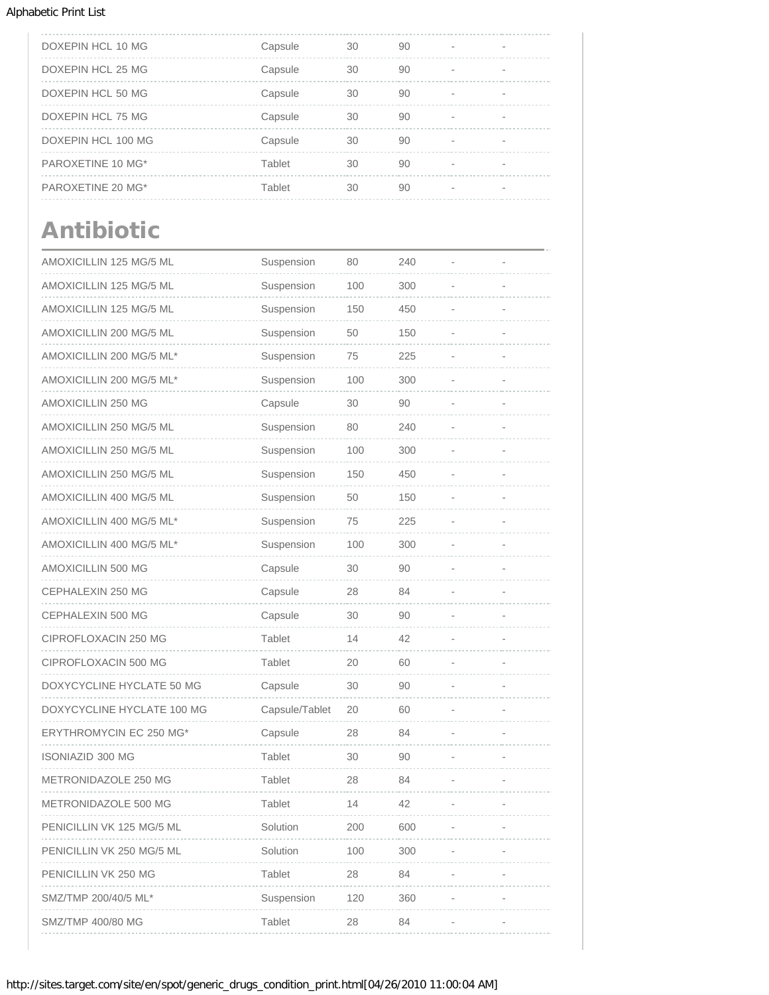| DOXEPIN HCL 10 MG  | Capsule | 30 | 90 |  |
|--------------------|---------|----|----|--|
| DOXEPIN HCL 25 MG  | Capsule | 30 | 90 |  |
| DOXEPIN HCL 50 MG  | Capsule | 30 | 90 |  |
| DOXEPIN HCL 75 MG  | Capsule | 30 | 90 |  |
| DOXEPIN HCL 100 MG | Capsule | 30 | 90 |  |
| PAROXETINE 10 MG*  | Tablet  | 30 | 90 |  |
| PAROXETINE 20 MG*  | Tablet  | 30 | 90 |  |

# Antibiotic

| AMOXICILLIN 125 MG/5 ML    | Suspension     | 80  | 240 |  |
|----------------------------|----------------|-----|-----|--|
| AMOXICILLIN 125 MG/5 ML    | Suspension     | 100 | 300 |  |
| AMOXICILLIN 125 MG/5 ML    | Suspension     | 150 | 450 |  |
| AMOXICILLIN 200 MG/5 ML    | Suspension     | 50  | 150 |  |
| AMOXICILLIN 200 MG/5 ML*   | Suspension     | 75  | 225 |  |
| AMOXICILLIN 200 MG/5 ML*   | Suspension     | 100 | 300 |  |
| AMOXICILLIN 250 MG         | Capsule        | 30  | 90  |  |
| AMOXICILLIN 250 MG/5 ML    | Suspension     | 80  | 240 |  |
| AMOXICILLIN 250 MG/5 ML    | Suspension     | 100 | 300 |  |
| AMOXICILLIN 250 MG/5 ML    | Suspension     | 150 | 450 |  |
| AMOXICILLIN 400 MG/5 ML    | Suspension     | 50  | 150 |  |
| AMOXICILLIN 400 MG/5 ML*   | Suspension     | 75  | 225 |  |
| AMOXICILLIN 400 MG/5 ML*   | Suspension     | 100 | 300 |  |
| AMOXICILLIN 500 MG         | Capsule        | 30  | 90  |  |
| CEPHALEXIN 250 MG          | Capsule        | 28  | 84  |  |
| CEPHALEXIN 500 MG          | Capsule        | 30  | 90  |  |
| CIPROFLOXACIN 250 MG       | Tablet         | 14  | 42  |  |
| CIPROFLOXACIN 500 MG       | Tablet         | 20  | 60  |  |
| DOXYCYCLINE HYCLATE 50 MG  | Capsule        | 30  | 90  |  |
| DOXYCYCLINE HYCLATE 100 MG | Capsule/Tablet | 20  | 60  |  |
| ERYTHROMYCIN EC 250 MG*    | Capsule        | 28  | 84  |  |
| ISONIAZID 300 MG           | Tablet         | 30  | 90  |  |
| METRONIDAZOLE 250 MG       | Tablet         | 28  | 84  |  |
| METRONIDAZOLE 500 MG       | Tablet         | 14  | 42  |  |
| PENICILLIN VK 125 MG/5 ML  | Solution       | 200 | 600 |  |
| PENICILLIN VK 250 MG/5 ML  | Solution       | 100 | 300 |  |
| PENICILLIN VK 250 MG       | Tablet         | 28  | 84  |  |
| SMZ/TMP 200/40/5 ML*       | Suspension     | 120 | 360 |  |
| SMZ/TMP 400/80 MG          | Tablet         | 28  | 84  |  |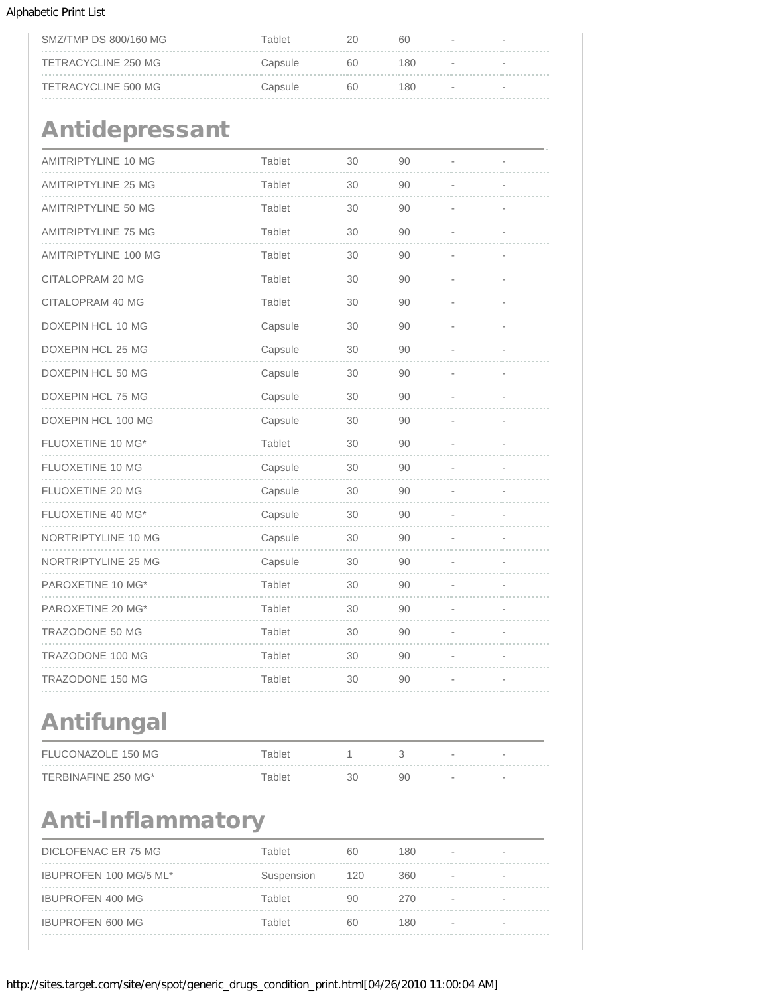| SMZ/TMP DS 800/160 MG | Tablet  |    | 60  | $\sim$ |
|-----------------------|---------|----|-----|--------|
| TETRACYCLINE 250 MG   | Capsule | 60 | 180 | $\sim$ |
| TETRACYCLINE 500 MG   | Capsule | 60 | 180 | $\sim$ |

# Antidepressant

| AMITRIPTYLINE 10 MG        | Tablet  | 30 | 90 |  |
|----------------------------|---------|----|----|--|
| <b>AMITRIPTYLINE 25 MG</b> | Tablet  | 30 | 90 |  |
| <b>AMITRIPTYLINE 50 MG</b> | Tablet  | 30 | 90 |  |
| <b>AMITRIPTYLINE 75 MG</b> | Tablet  | 30 | 90 |  |
| AMITRIPTYLINE 100 MG       | Tablet  | 30 | 90 |  |
| CITALOPRAM 20 MG           | Tablet  | 30 | 90 |  |
| CITALOPRAM 40 MG           | Tablet  | 30 | 90 |  |
| DOXEPIN HCL 10 MG          | Capsule | 30 | 90 |  |
| DOXEPIN HCL 25 MG          | Capsule | 30 | 90 |  |
| DOXEPIN HCL 50 MG          | Capsule | 30 | 90 |  |
| DOXEPIN HCL 75 MG          | Capsule | 30 | 90 |  |
| DOXEPIN HCL 100 MG         | Capsule | 30 | 90 |  |
| FLUOXETINE 10 MG*          | Tablet  | 30 | 90 |  |
| FLUOXETINE 10 MG           | Capsule | 30 | 90 |  |
| FLUOXETINE 20 MG           | Capsule | 30 | 90 |  |
| FLUOXETINE 40 MG*          | Capsule | 30 | 90 |  |
| NORTRIPTYLINE 10 MG        | Capsule | 30 | 90 |  |
| NORTRIPTYLINE 25 MG        | Capsule | 30 | 90 |  |
| PAROXETINE 10 MG*          | Tablet  | 30 | 90 |  |
| PAROXETINE 20 MG*          | Tablet  | 30 | 90 |  |
| TRAZODONE 50 MG            | Tablet  | 30 | 90 |  |
| TRAZODONE 100 MG           | Tablet  | 30 | 90 |  |
| TRAZODONE 150 MG           | Tablet  | 30 | 90 |  |

## Antifungal

| FLUCONAZOLE 150 MG  | Tablet |    | $\sim$ | $\sim$                   |
|---------------------|--------|----|--------|--------------------------|
| TERBINAFINE 250 MG* | Tablet | 90 | $\sim$ | $\overline{\phantom{a}}$ |

### Anti-Inflammatory

| DICLOFENAC ER 75 MG     | Tablet     | 60  | 180  |        |                          |
|-------------------------|------------|-----|------|--------|--------------------------|
| IBUPROFEN 100 MG/5 ML*  | Suspension | 120 | 360  | $\sim$ | $\overline{\phantom{a}}$ |
| <b>IBUPROFEN 400 MG</b> | Tablet     | 90  | 270  |        |                          |
| <b>IBUPROFEN 600 MG</b> | Tablet     | 60  | 180. |        |                          |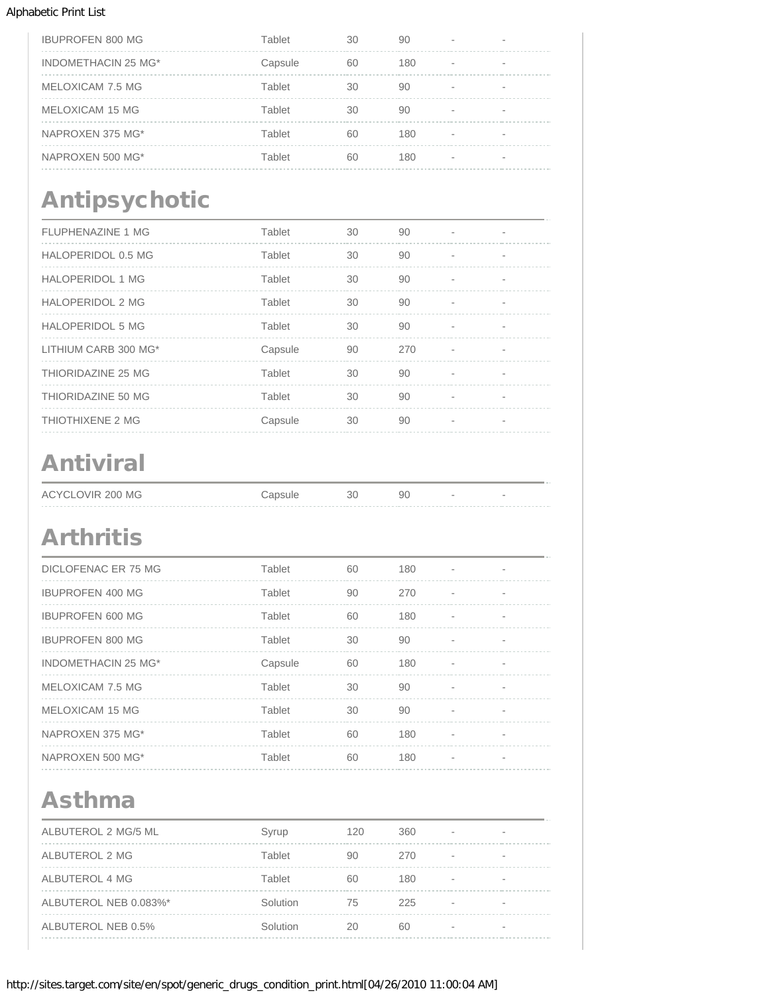| <b>IBUPROFEN 800 MG</b> | Tablet  | 30 | 90  |                          |                          |
|-------------------------|---------|----|-----|--------------------------|--------------------------|
| INDOMETHACIN 25 MG*     | Capsule | 60 | 180 | $\overline{\phantom{a}}$ |                          |
| MELOXICAM 7.5 MG        | Tablet  | 30 | 90  |                          |                          |
| MELOXICAM 15 MG         | Tablet  | 30 | 90  | $\overline{\phantom{a}}$ | $\overline{\phantom{a}}$ |
| NAPROXEN 375 MG*        | Tablet  | 60 | 180 |                          |                          |
| NAPROXEN 500 MG*        | Tablet  | 60 | 180 |                          |                          |

# Antipsychotic

| <b>FLUPHENAZINE 1 MG</b> | Tablet  | 30 | 90  |                          |  |
|--------------------------|---------|----|-----|--------------------------|--|
| HALOPERIDOL 0.5 MG       | Tablet  | 30 | 90  |                          |  |
| <b>HALOPERIDOL 1 MG</b>  | Tablet  | 30 | 90  | $\overline{\phantom{a}}$ |  |
| <b>HALOPERIDOL 2 MG</b>  | Tablet  | 30 | 90  |                          |  |
| <b>HALOPERIDOL 5 MG</b>  | Tablet  | 30 | 90  |                          |  |
| LITHIUM CARB 300 MG*     | Capsule | 90 | 270 |                          |  |
| THIORIDAZINE 25 MG       | Tablet  | 30 | 90  |                          |  |
| THIORIDAZINE 50 MG       | Tablet  | 30 | 90  |                          |  |
| THIOTHIXENE 2 MG         | Capsule | 30 | 90  |                          |  |

# Antiviral

| ACYCLOVIR 200 MG | 30 | 90 | $\sim$ |
|------------------|----|----|--------|
|                  |    |    |        |

## Arthritis

| <b>DICLOFENAC ER 75 MG</b> | Tablet  | 60 | 180 |   |                |
|----------------------------|---------|----|-----|---|----------------|
| <b>IBUPROFEN 400 MG</b>    | Tablet  | 90 | 270 |   |                |
| <b>IBUPROFEN 600 MG</b>    | Tablet  | 60 | 180 |   |                |
| <b>IBUPROFEN 800 MG</b>    | Tablet  | 30 | 90  | ٠ | $\blacksquare$ |
| INDOMETHACIN 25 MG*        | Capsule | 60 | 180 | ٠ | $\blacksquare$ |
| MELOXICAM 7.5 MG           | Tablet  | 30 | 90  |   |                |
| MELOXICAM 15 MG            | Tablet  | 30 | 90  |   |                |
| NAPROXEN 375 MG*           | Tablet  | 60 | 180 |   |                |
| NAPROXEN 500 MG*           | Tablet  | 60 | 180 |   |                |
|                            |         |    |     |   |                |

### Asthma

| ALBUTEROL 2 MG/5 ML   | Syrup    | 120 | 360 | $\overline{\phantom{a}}$ |  |
|-----------------------|----------|-----|-----|--------------------------|--|
| ALBUTEROL 2 MG        | Tablet   | 90  | 270 |                          |  |
| ALBUTEROL 4 MG        | Tablet   | 60  | 180 | $\sim$                   |  |
| ALBUTEROL NEB 0.083%* | Solution | 75  | 225 | $\overline{\phantom{a}}$ |  |
| ALBUTEROL NEB 0.5%    | Solution | 20  | 60  |                          |  |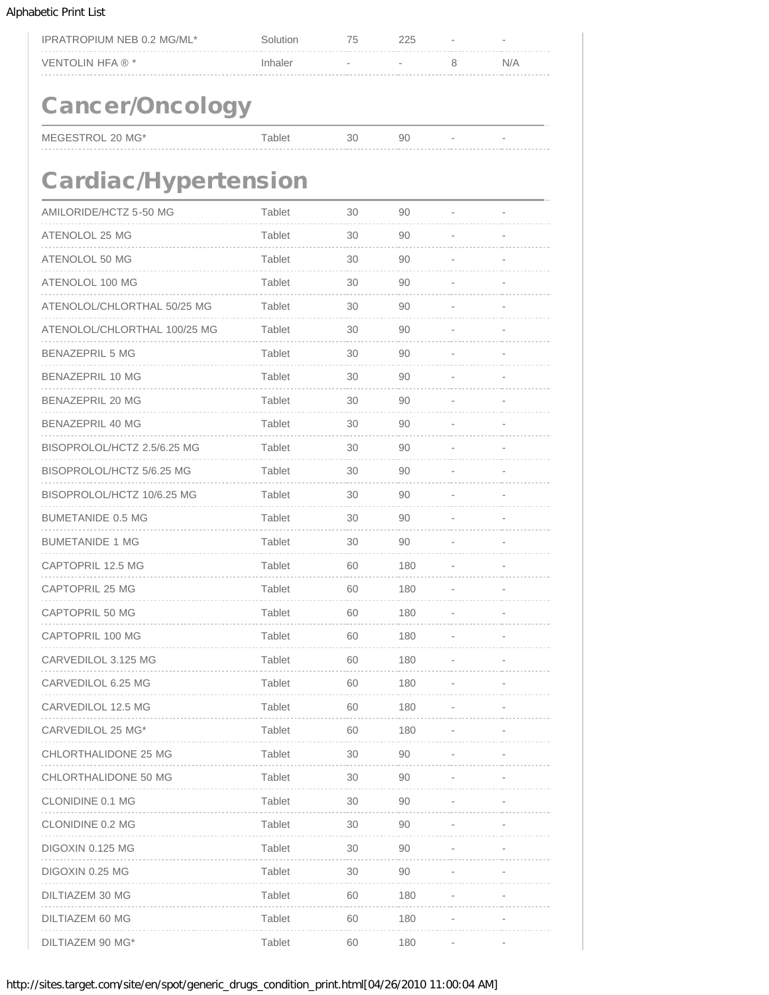| IPRATROPIUM NEB 0.2 MG/ML*   | Solution | 75 | 225 |   |                |  |  |  |  |
|------------------------------|----------|----|-----|---|----------------|--|--|--|--|
| VENTOLIN HFA ® *             | Inhaler  |    |     | 8 | N/A            |  |  |  |  |
|                              |          |    |     |   |                |  |  |  |  |
| <b>Cancer/Oncology</b>       |          |    |     |   |                |  |  |  |  |
| MEGESTROL 20 MG*             | Tablet   | 30 | 90  |   | $\overline{a}$ |  |  |  |  |
|                              |          |    |     |   |                |  |  |  |  |
| <b>Cardiac/Hypertension</b>  |          |    |     |   |                |  |  |  |  |
| AMILORIDE/HCTZ 5-50 MG       | Tablet   | 30 | 90  |   |                |  |  |  |  |
| ATENOLOL 25 MG               | Tablet   | 30 | 90  |   |                |  |  |  |  |
| ATENOLOL 50 MG               | Tablet   | 30 | 90  |   |                |  |  |  |  |
| ATENOLOL 100 MG              | Tablet   | 30 | 90  |   |                |  |  |  |  |
| ATENOLOL/CHLORTHAL 50/25 MG  | Tablet   | 30 | 90  |   |                |  |  |  |  |
| ATENOLOL/CHLORTHAL 100/25 MG | Tablet   | 30 | 90  |   |                |  |  |  |  |
| <b>BENAZEPRIL 5 MG</b>       | Tablet   | 30 | 90  |   |                |  |  |  |  |
| <b>BENAZEPRIL 10 MG</b>      | Tablet   | 30 | 90  |   |                |  |  |  |  |
| <b>BENAZEPRIL 20 MG</b>      | Tablet   | 30 | 90  |   |                |  |  |  |  |
| <b>BENAZEPRIL 40 MG</b>      | Tablet   | 30 | 90  |   |                |  |  |  |  |
| BISOPROLOL/HCTZ 2.5/6.25 MG  | Tablet   | 30 | 90  |   |                |  |  |  |  |
| BISOPROLOL/HCTZ 5/6.25 MG    | Tablet   | 30 | 90  |   |                |  |  |  |  |
| BISOPROLOL/HCTZ 10/6.25 MG   | Tablet   | 30 | 90  |   |                |  |  |  |  |
| <b>BUMETANIDE 0.5 MG</b>     | Tablet   | 30 | 90  |   |                |  |  |  |  |
| <b>BUMETANIDE 1 MG</b>       | Tablet   | 30 | 90  |   |                |  |  |  |  |
| CAPTOPRIL 12.5 MG            | Tablet   | 60 | 180 |   |                |  |  |  |  |
| <b>CAPTOPRIL 25 MG</b>       | Tablet   | 60 | 180 |   |                |  |  |  |  |
| CAPTOPRIL 50 MG              | Tablet   | 60 | 180 |   |                |  |  |  |  |
| CAPTOPRIL 100 MG             | Tablet   | 60 | 180 |   |                |  |  |  |  |
| CARVEDILOL 3.125 MG          | Tablet   | 60 | 180 |   |                |  |  |  |  |
| CARVEDILOL 6.25 MG           | Tablet   | 60 | 180 |   |                |  |  |  |  |
| CARVEDILOL 12.5 MG           | Tablet   | 60 | 180 |   |                |  |  |  |  |
| CARVEDILOL 25 MG*            | Tablet   | 60 | 180 |   |                |  |  |  |  |
| CHLORTHALIDONE 25 MG         | Tablet   | 30 | 90  |   |                |  |  |  |  |
| CHLORTHALIDONE 50 MG         | Tablet   | 30 | 90  |   |                |  |  |  |  |
| CLONIDINE 0.1 MG             | Tablet   | 30 | 90  |   |                |  |  |  |  |
| CLONIDINE 0.2 MG             | Tablet   | 30 | 90  |   |                |  |  |  |  |
| DIGOXIN 0.125 MG             | Tablet   | 30 | 90  |   |                |  |  |  |  |
| DIGOXIN 0.25 MG              | Tablet   | 30 | 90  |   |                |  |  |  |  |
| DILTIAZEM 30 MG              | Tablet   | 60 | 180 |   |                |  |  |  |  |
| DILTIAZEM 60 MG              | Tablet   | 60 | 180 |   |                |  |  |  |  |
| DILTIAZEM 90 MG*             | Tablet   | 60 | 180 |   |                |  |  |  |  |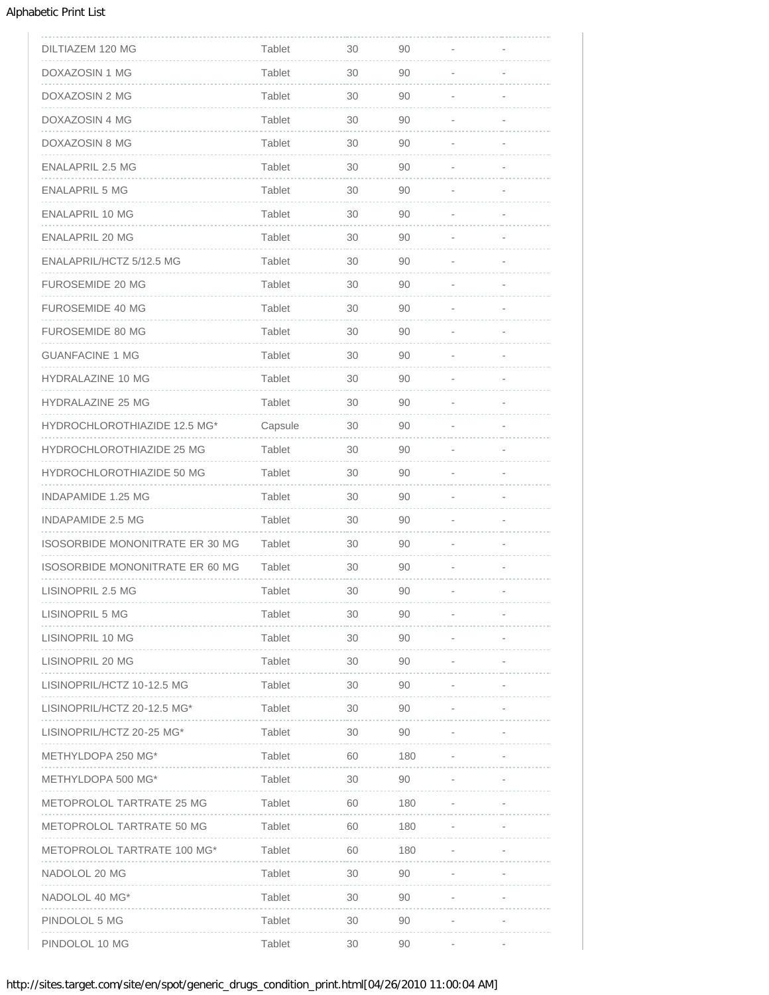| DILTIAZEM 120 MG                       | Tablet        | 30 | 90  |  |
|----------------------------------------|---------------|----|-----|--|
| DOXAZOSIN 1 MG                         | Tablet        | 30 | 90  |  |
| DOXAZOSIN 2 MG                         | Tablet        | 30 | 90  |  |
| DOXAZOSIN 4 MG                         | Tablet        | 30 | 90  |  |
| DOXAZOSIN 8 MG                         | Tablet        | 30 | 90  |  |
| <b>ENALAPRIL 2.5 MG</b>                | Tablet        | 30 | 90  |  |
| ENALAPRIL 5 MG                         | Tablet        | 30 | 90  |  |
| ENALAPRIL 10 MG                        | Tablet        | 30 | 90  |  |
| ENALAPRIL 20 MG                        | Tablet        | 30 | 90  |  |
| ENALAPRIL/HCTZ 5/12.5 MG               | Tablet        | 30 | 90  |  |
| <b>FUROSEMIDE 20 MG</b>                | Tablet        | 30 | 90  |  |
| FUROSEMIDE 40 MG                       | Tablet        | 30 | 90  |  |
| FUROSEMIDE 80 MG                       | Tablet        | 30 | 90  |  |
| <b>GUANFACINE 1 MG</b>                 | Tablet        | 30 | 90  |  |
| <b>HYDRALAZINE 10 MG</b>               | <b>Tablet</b> | 30 | 90  |  |
| <b>HYDRALAZINE 25 MG</b>               | Tablet        | 30 | 90  |  |
| HYDROCHLOROTHIAZIDE 12.5 MG*           | Capsule       | 30 | 90  |  |
| HYDROCHLOROTHIAZIDE 25 MG              | Tablet        | 30 | 90  |  |
| HYDROCHLOROTHIAZIDE 50 MG              | Tablet        | 30 | 90  |  |
| <b>INDAPAMIDE 1.25 MG</b>              | Tablet        | 30 | 90  |  |
| <b>INDAPAMIDE 2.5 MG</b>               | Tablet        | 30 | 90  |  |
| <b>ISOSORBIDE MONONITRATE ER 30 MG</b> | Tablet        | 30 | 90  |  |
| ISOSORBIDE MONONITRATE ER 60 MG        | Tablet        | 30 | 90  |  |
| LISINOPRIL 2.5 MG                      | Tablet        | 30 | 90  |  |
| LISINOPRIL 5 MG                        | Tablet        | 30 | 90  |  |
| LISINOPRIL 10 MG                       | Tablet        | 30 | 90  |  |
| LISINOPRIL 20 MG                       | Tablet        | 30 | 90  |  |
| LISINOPRIL/HCTZ 10-12.5 MG             | Tablet        | 30 | 90  |  |
| LISINOPRIL/HCTZ 20-12.5 MG*            | Tablet        | 30 | 90  |  |
| LISINOPRIL/HCTZ 20-25 MG*              | Tablet        | 30 | 90  |  |
| METHYLDOPA 250 MG*                     | Tablet        | 60 | 180 |  |
| METHYLDOPA 500 MG*                     | Tablet        | 30 | 90  |  |
| METOPROLOL TARTRATE 25 MG              | Tablet        | 60 | 180 |  |
| METOPROLOL TARTRATE 50 MG              | Tablet        | 60 | 180 |  |
| METOPROLOL TARTRATE 100 MG*            | Tablet        | 60 | 180 |  |
| NADOLOL 20 MG                          | Tablet        | 30 | 90  |  |
| NADOLOL 40 MG*                         | Tablet        | 30 | 90  |  |
| PINDOLOL 5 MG                          | Tablet        | 30 | 90  |  |
| PINDOLOL 10 MG                         | Tablet        | 30 | 90  |  |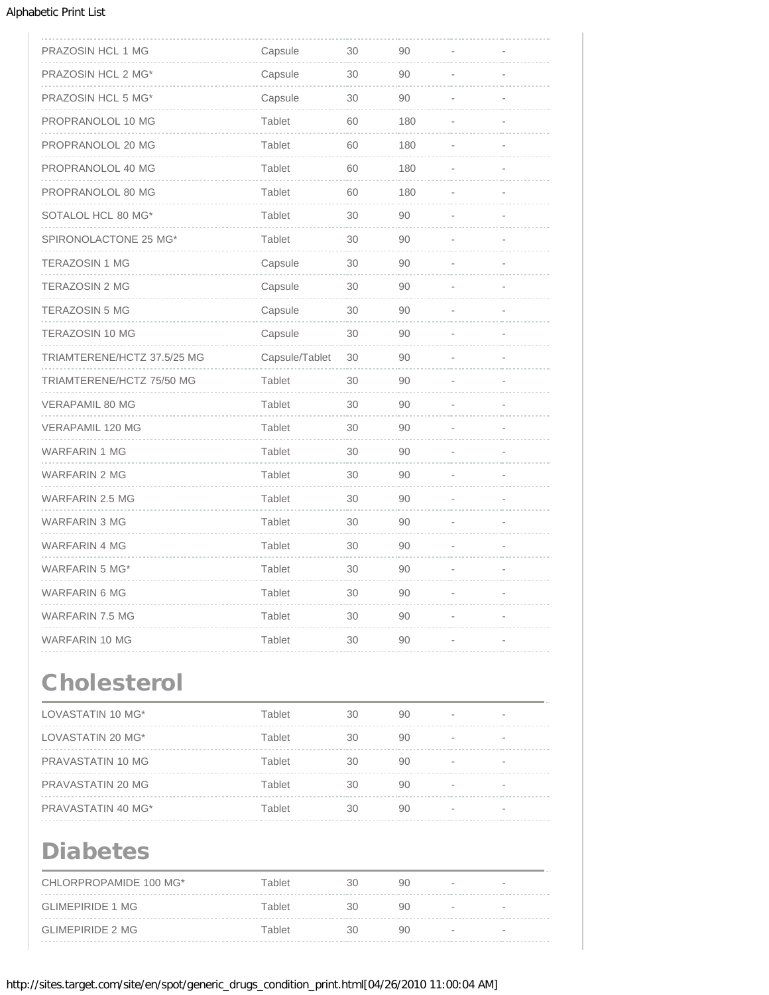| PRAZOSIN HCL 1 MG           | Capsule        | 30 | 90  |  |
|-----------------------------|----------------|----|-----|--|
| PRAZOSIN HCL 2 MG*          | Capsule        | 30 | 90  |  |
| PRAZOSIN HCL 5 MG*          | Capsule        | 30 | 90  |  |
| PROPRANOLOL 10 MG           | <b>Tablet</b>  | 60 | 180 |  |
| PROPRANOLOL 20 MG           | Tablet         | 60 | 180 |  |
| PROPRANOLOL 40 MG           | Tablet         | 60 | 180 |  |
| PROPRANOLOL 80 MG           | Tablet         | 60 | 180 |  |
| SOTALOL HCL 80 MG*          | Tablet         | 30 | 90  |  |
| SPIRONOLACTONE 25 MG*       | Tablet         | 30 | 90  |  |
| <b>TERAZOSIN 1 MG</b>       | Capsule        | 30 | 90  |  |
| <b>TERAZOSIN 2 MG</b>       | Capsule        | 30 | 90  |  |
| TERAZOSIN 5 MG              | Capsule        | 30 | 90  |  |
| TERAZOSIN 10 MG             | Capsule        | 30 | 90  |  |
| TRIAMTERENE/HCTZ 37.5/25 MG | Capsule/Tablet | 30 | 90  |  |
| TRIAMTERENE/HCTZ 75/50 MG   | Tablet         | 30 | 90  |  |
| <b>VERAPAMIL 80 MG</b>      | Tablet         | 30 | 90  |  |
| <b>VERAPAMIL 120 MG</b>     | Tablet         | 30 | 90  |  |
| <b>WARFARIN 1 MG</b>        | <b>Tablet</b>  | 30 | 90  |  |
| WARFARIN 2 MG               | <b>Tablet</b>  | 30 | 90  |  |
| WARFARIN 2.5 MG             | Tablet         | 30 | 90  |  |
| WARFARIN 3 MG               | Tablet         | 30 | 90  |  |
| <b>WARFARIN 4 MG</b>        | Tablet         | 30 | 90  |  |
| <b>WARFARIN 5 MG*</b>       | <b>Tablet</b>  | 30 | 90  |  |
| <b>WARFARIN 6 MG</b>        | <b>Tablet</b>  | 30 | 90  |  |
| WARFARIN 7.5 MG             | <b>Tablet</b>  | 30 | 90  |  |
| WARFARIN 10 MG              | <b>Tablet</b>  | 30 | 90  |  |
|                             |                |    |     |  |

## **Cholesterol**

| LOVASTATIN 10 MG*  | Tablet | 30 | 90 |                          |                          |
|--------------------|--------|----|----|--------------------------|--------------------------|
| LOVASTATIN 20 MG*  | Tablet | 30 | 90 | $\overline{\phantom{a}}$ | $\overline{\phantom{a}}$ |
| PRAVASTATIN 10 MG  | Tablet | 30 | 90 |                          |                          |
| PRAVASTATIN 20 MG  | Tablet | 30 | 90 |                          |                          |
| PRAVASTATIN 40 MG* | Tablet | 30 | 90 |                          | $\overline{\phantom{a}}$ |

### Diabetes

| CHLORPROPAMIDE 100 MG*  | Tablet | 30 | 90 |                          | $\overline{\phantom{a}}$ |
|-------------------------|--------|----|----|--------------------------|--------------------------|
| <b>GLIMEPIRIDE 1 MG</b> | Tablet | 30 | 90 | $\overline{\phantom{a}}$ | $\overline{\phantom{a}}$ |
| <b>GLIMEPIRIDE 2 MG</b> | Tablet | 30 | 90 |                          | $\overline{\phantom{a}}$ |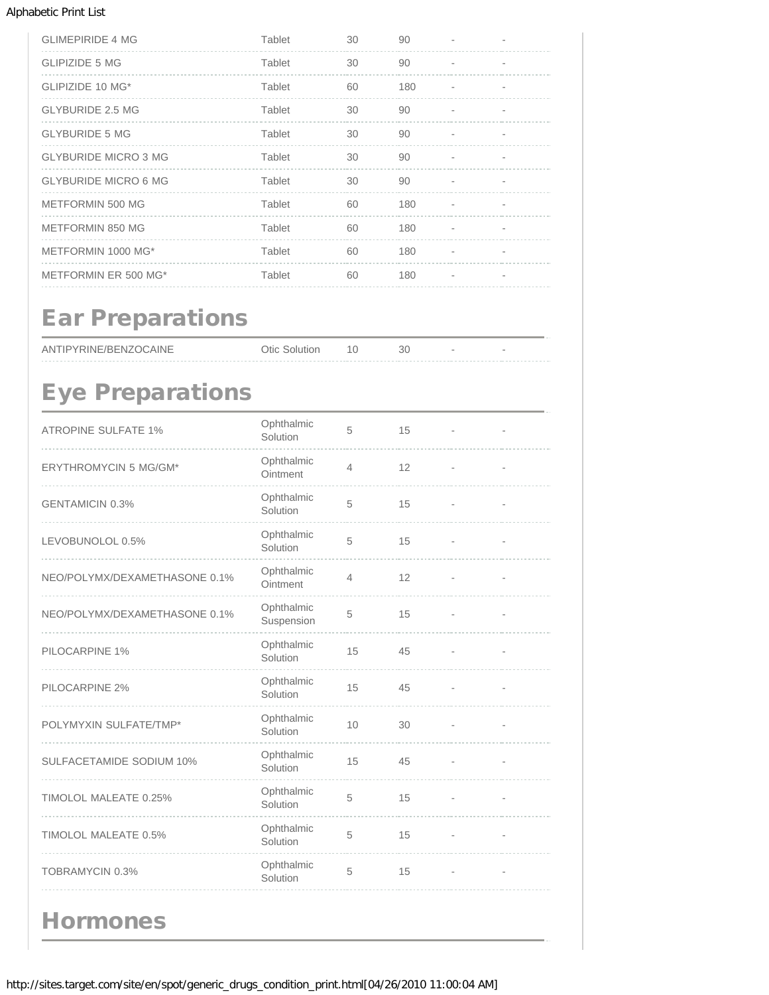| <b>GLIMEPIRIDE 4 MG</b>     | Tablet | 30 | 90  |  |
|-----------------------------|--------|----|-----|--|
| <b>GLIPIZIDE 5 MG</b>       | Tablet | 30 | 90  |  |
| GLIPIZIDE 10 MG*            | Tablet | 60 | 180 |  |
| <b>GLYBURIDE 2.5 MG</b>     | Tablet | 30 | 90  |  |
| <b>GLYBURIDE 5 MG</b>       | Tablet | 30 | 90  |  |
| <b>GLYBURIDE MICRO 3 MG</b> | Tablet | 30 | 90  |  |
| <b>GLYBURIDE MICRO 6 MG</b> | Tablet | 30 | 90  |  |
| METFORMIN 500 MG            | Tablet | 60 | 180 |  |
| <b>METFORMIN 850 MG</b>     | Tablet | 60 | 180 |  |
| METFORMIN 1000 MG*          | Tablet | 60 | 180 |  |
| METFORMIN ER 500 MG*        | Tablet | 60 | 180 |  |

## Ear Preparations

| ANTIPYRINE/BENZOCAINE | <b>Otic Solution</b> |  |  |
|-----------------------|----------------------|--|--|
|                       |                      |  |  |

# Eye Preparations

| <b>ATROPINE SULFATE 1%</b>      | Ophthalmic<br>Solution   | 5              | 15 |                          |                          |
|---------------------------------|--------------------------|----------------|----|--------------------------|--------------------------|
| <b>ERYTHROMYCIN 5 MG/GM*</b>    | Ophthalmic<br>Ointment   | $\overline{4}$ | 12 |                          |                          |
| <b>GENTAMICIN 0.3%</b>          | Ophthalmic<br>Solution   | 5              | 15 |                          |                          |
| LEVOBUNOLOL 0.5%                | Ophthalmic<br>Solution   | 5              | 15 | $\overline{\phantom{a}}$ | $\overline{\phantom{m}}$ |
| NEO/POLYMX/DEXAMETHASONE 0.1%   | Ophthalmic<br>Ointment   | $\overline{4}$ | 12 |                          |                          |
| NEO/POLYMX/DEXAMETHASONE 0.1%   | Ophthalmic<br>Suspension | 5              | 15 |                          |                          |
| PILOCARPINE 1%                  | Ophthalmic<br>Solution   | 15             | 45 |                          | $\overline{a}$           |
| PILOCARPINE 2%                  | Ophthalmic<br>Solution   | 15             | 45 |                          |                          |
| POLYMYXIN SULFATE/TMP*          | Ophthalmic<br>Solution   | 10             | 30 |                          |                          |
| <b>SULFACETAMIDE SODIUM 10%</b> | Ophthalmic<br>Solution   | 15             | 45 |                          |                          |
| TIMOLOL MALEATE 0.25%           | Ophthalmic<br>Solution   | 5              | 15 |                          |                          |
| TIMOLOL MALEATE 0.5%            | Ophthalmic<br>Solution   | 5              | 15 | $\overline{\phantom{a}}$ | i.                       |
| <b>TOBRAMYCIN 0.3%</b>          | Ophthalmic<br>Solution   | 5              | 15 |                          |                          |
| <b>Hormones</b>                 |                          |                |    |                          |                          |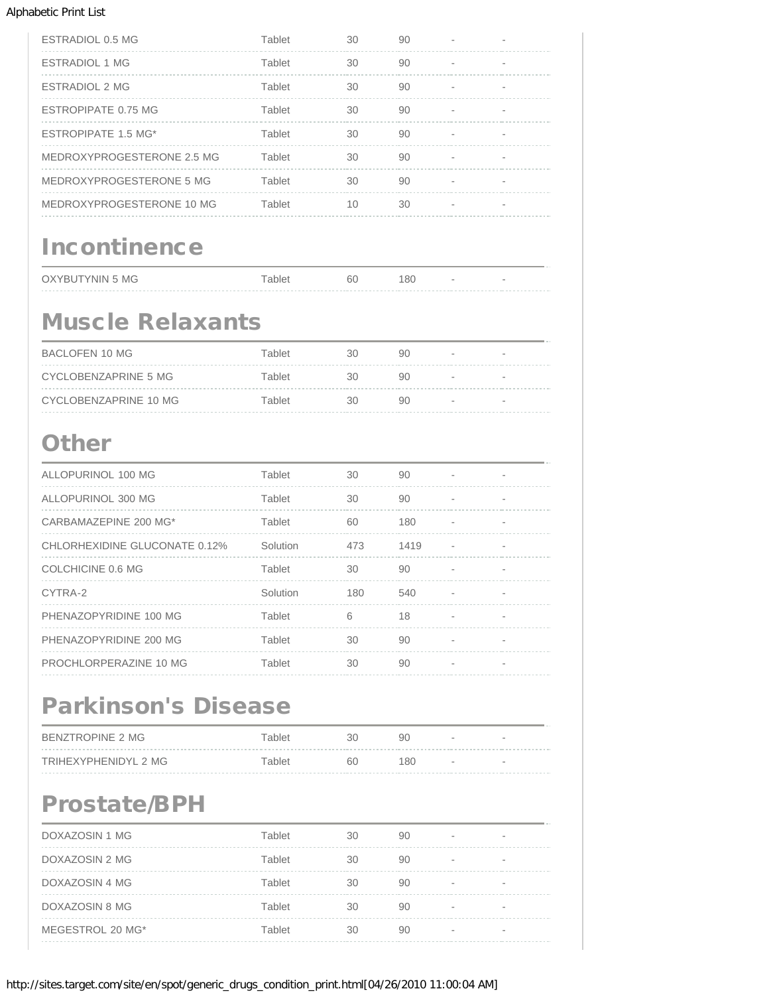| ESTRADIOL 0.5 MG           | Tablet | 30 | 90 |  |
|----------------------------|--------|----|----|--|
| ESTRADIOL 1 MG             | Tablet | 30 | 90 |  |
| ESTRADIOL 2 MG             | Tablet | 30 | 90 |  |
| ESTROPIPATE 0.75 MG        | Tablet | 30 | 90 |  |
| ESTROPIPATE 1.5 MG*        | Tablet | 30 | 90 |  |
| MEDROXYPROGESTERONE 2.5 MG | Tablet | 30 | 90 |  |
| MEDROXYPROGESTERONE 5 MG   | Tablet | 30 | 90 |  |
| MEDROXYPROGESTERONE 10 MG  | Tablet | 10 | 30 |  |
|                            |        |    |    |  |

# **Incontinence**

| OXYBUTYNIN 5 MG | able. | 60 | 180 |  |
|-----------------|-------|----|-----|--|
| .               |       |    |     |  |

### Muscle Relaxants

| BACLOFEN 10 MG        | Tablet | 30 | 90 | $\sim$                   | $\overline{\phantom{a}}$ |
|-----------------------|--------|----|----|--------------------------|--------------------------|
| CYCLOBENZAPRINE 5 MG  | Tablet | 30 | 90 | $\sim$                   | $\overline{\phantom{a}}$ |
| CYCLOBENZAPRINE 10 MG | Tablet | 30 | 90 | $\overline{\phantom{a}}$ | $\overline{\phantom{a}}$ |

### **Other**

| ALLOPURINOL 100 MG            | Tablet   | 30  | 90   | $\overline{\phantom{a}}$ |  |
|-------------------------------|----------|-----|------|--------------------------|--|
| ALLOPURINOL 300 MG            | Tablet   | 30  | 90   | ٠                        |  |
| CARBAMAZEPINE 200 MG*         | Tablet   | 60  | 180  |                          |  |
| CHLORHEXIDINE GLUCONATE 0.12% | Solution | 473 | 1419 | $\blacksquare$           |  |
| COLCHICINE 0.6 MG             | Tablet   | 30  | 90   | ٠                        |  |
| CYTRA-2                       | Solution | 180 | 540  |                          |  |
| PHENAZOPYRIDINE 100 MG        | Tablet   | 6   | 18   |                          |  |
| PHENAZOPYRIDINE 200 MG        | Tablet   | 30  | 90   | ٠                        |  |
| PROCHLORPERAZINE 10 MG        | Tablet   | 30  | 90   | $\overline{\phantom{a}}$ |  |

### Parkinson's Disease

| BENZTROPINE 2 MG     | Tablet | 30 | 90   | $\sim$ | $\overline{\phantom{a}}$ |
|----------------------|--------|----|------|--------|--------------------------|
| TRIHEXYPHENIDYL 2 MG | Tablet | 60 | 180. | $\sim$ | $\overline{\phantom{a}}$ |
|                      |        |    |      |        |                          |

## Prostate/BPH

| DOXAZOSIN 1 MG   | Tablet | 30 | 90 |   |  |
|------------------|--------|----|----|---|--|
| DOXAZOSIN 2 MG   | Tablet | 30 | 90 |   |  |
| DOXAZOSIN 4 MG   | Tablet | 30 | 90 |   |  |
| DOXAZOSIN 8 MG   | Tablet | 30 | 90 | - |  |
| MEGESTROL 20 MG* | Tablet | 30 | 90 |   |  |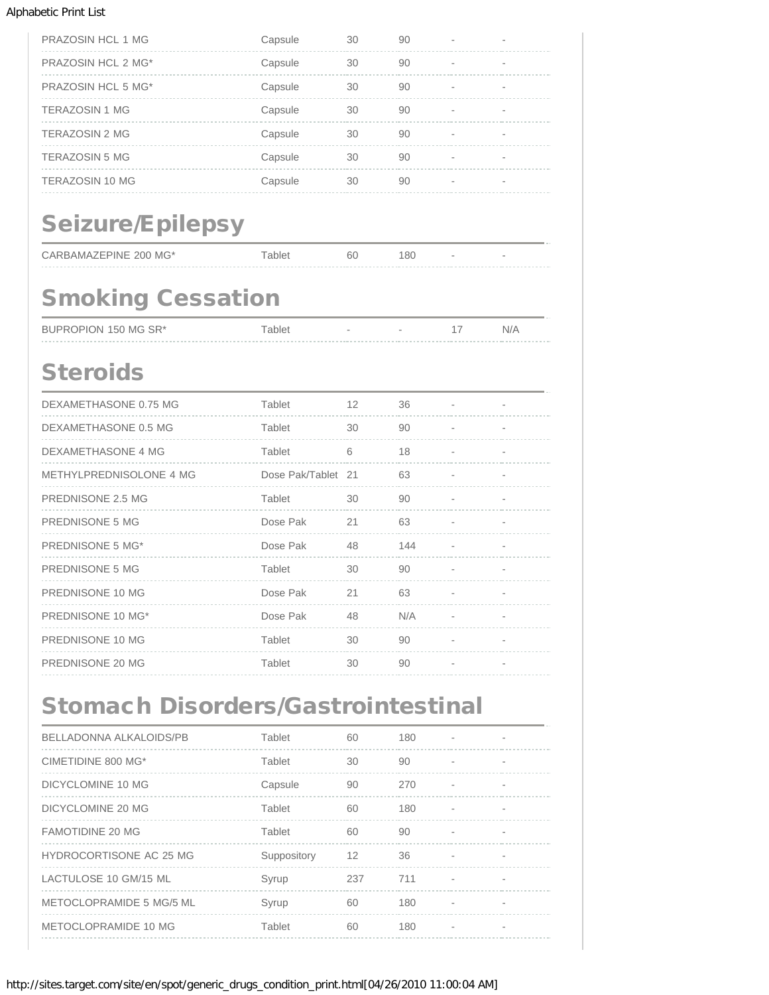| <b>PRAZOSIN HCL 1 MG</b> | Capsule | 30 | 90 |  |
|--------------------------|---------|----|----|--|
| PRAZOSIN HCL 2 MG*       | Capsule | 30 | 90 |  |
| PRAZOSIN HCL 5 MG*       | Capsule | 30 | 90 |  |
| <b>TERAZOSIN 1 MG</b>    | Capsule | 30 | 90 |  |
| <b>TERAZOSIN 2 MG</b>    | Capsule | 30 | 90 |  |
| <b>TERAZOSIN 5 MG</b>    | Capsule | 30 | 90 |  |
| <b>TERAZOSIN 10 MG</b>   | Capsule | 30 | 90 |  |
|                          |         |    |    |  |

# Seizure/Epilepsy

| CARBAMAZEPINE 200 MG* |  |  |
|-----------------------|--|--|
|                       |  |  |

Tablet 60 180 - -

# Smoking Cessation

| BUPROPION 150 MG SR* | $\tau$ ablet |  | N/A |
|----------------------|--------------|--|-----|
|                      |              |  |     |

## **Steroids**

| DEXAMETHASONE 0.75 MG   | Tablet             | 12 | 36  |   |  |
|-------------------------|--------------------|----|-----|---|--|
| DEXAMETHASONE 0.5 MG    | Tablet             | 30 | 90  | ٠ |  |
| DEXAMETHASONE 4 MG      | Tablet             | 6  | 18  |   |  |
| METHYLPREDNISOLONE 4 MG | Dose Pak/Tablet 21 |    | 63  |   |  |
| PREDNISONE 2.5 MG       | Tablet             | 30 | 90  |   |  |
| PREDNISONE 5 MG         | Dose Pak           | 21 | 63  | ٠ |  |
| PREDNISONE 5 MG*        | Dose Pak           | 48 | 144 | ٠ |  |
| PREDNISONE 5 MG         | Tablet             | 30 | 90  |   |  |
| PREDNISONE 10 MG        | Dose Pak           | 21 | 63  |   |  |
| PREDNISONE 10 MG*       | Dose Pak           | 48 | N/A |   |  |
| PREDNISONE 10 MG        | Tablet             | 30 | 90  |   |  |
| PREDNISONE 20 MG        | Tablet             | 30 | 90  |   |  |

### Stomach Disorders/Gastrointestinal

| BELLADONNA ALKALOIDS/PB         | Tablet      | 60  | 180 |                          |  |
|---------------------------------|-------------|-----|-----|--------------------------|--|
| CIMETIDINE 800 MG*              | Tablet      | 30  | 90  | $\overline{\phantom{a}}$ |  |
| DICYCLOMINE 10 MG               | Capsule     | 90  | 270 |                          |  |
| DICYCLOMINE 20 MG               | Tablet      | 60  | 180 |                          |  |
| <b>FAMOTIDINE 20 MG</b>         | Tablet      | 60  | 90  |                          |  |
| HYDROCORTISONE AC 25 MG         | Suppository | 12  | 36  |                          |  |
| LACTULOSE 10 GM/15 ML           | Syrup       | 237 | 711 | $\overline{\phantom{a}}$ |  |
| <b>METOCLOPRAMIDE 5 MG/5 ML</b> | Syrup       | 60  | 180 |                          |  |
| METOCLOPRAMIDE 10 MG            | Tablet      | 60  | 180 |                          |  |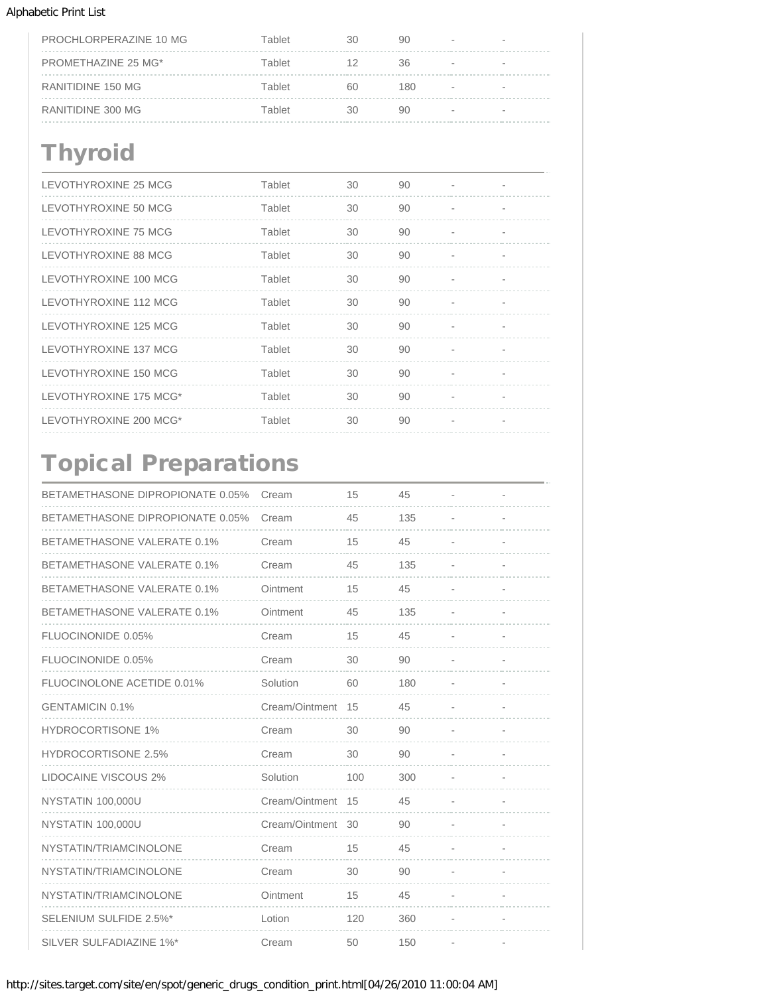| PROCHLORPERAZINE 10 MG | Tablet | 30 | 90  |        |   |
|------------------------|--------|----|-----|--------|---|
| PROMETHAZINE 25 MG*    | Tablet | 12 | 36  | $\sim$ | - |
| RANITIDINE 150 MG      | Tablet | 60 | 180 |        |   |
| RANITIDINE 300 MG      | Tablet | RΩ | 90  | $\sim$ | - |

## **Thyroid**

| LEVOTHYROXINE 25 MCG   | Tablet | 30 | 90 |  |
|------------------------|--------|----|----|--|
| LEVOTHYROXINE 50 MCG   | Tablet | 30 | 90 |  |
| LEVOTHYROXINE 75 MCG   | Tablet | 30 | 90 |  |
| LEVOTHYROXINE 88 MCG   | Tablet | 30 | 90 |  |
| LEVOTHYROXINE 100 MCG  | Tablet | 30 | 90 |  |
| LEVOTHYROXINE 112 MCG  | Tablet | 30 | 90 |  |
| LEVOTHYROXINE 125 MCG  | Tablet | 30 | 90 |  |
| LEVOTHYROXINE 137 MCG  | Tablet | 30 | 90 |  |
| LEVOTHYROXINE 150 MCG  | Tablet | 30 | 90 |  |
| LEVOTHYROXINE 175 MCG* | Tablet | 30 | 90 |  |
| LEVOTHYROXINE 200 MCG* | Tablet | 30 | 90 |  |

# Topical Preparations

| BETAMETHASONE DIPROPIONATE 0.05%   | Cream             | 15  | 45  |                          |  |
|------------------------------------|-------------------|-----|-----|--------------------------|--|
| BETAMETHASONE DIPROPIONATE 0.05%   | Cream             | 45  | 135 |                          |  |
| <b>BETAMETHASONE VALERATE 0.1%</b> | Cream             | 15  | 45  |                          |  |
| BETAMETHASONE VALERATE 0.1%        | Cream             | 45  | 135 |                          |  |
| <b>BETAMETHASONE VALERATE 0.1%</b> | Ointment          | 15  | 45  |                          |  |
| <b>BETAMETHASONE VALERATE 0.1%</b> | Ointment          | 45  | 135 |                          |  |
| FLUOCINONIDE 0.05%                 | Cream             | 15  | 45  | $\overline{\phantom{a}}$ |  |
| FLUOCINONIDE 0.05%                 | Cream             | 30  | 90  | $\overline{\phantom{0}}$ |  |
| FLUOCINOLONE ACETIDE 0.01%         | Solution          | 60  | 180 |                          |  |
| <b>GENTAMICIN 0.1%</b>             | Cream/Ointment    | 15  | 45  |                          |  |
| <b>HYDROCORTISONE 1%</b>           | Cream             | 30  | 90  |                          |  |
| <b>HYDROCORTISONE 2.5%</b>         | Cream             | 30  | 90  |                          |  |
| <b>LIDOCAINE VISCOUS 2%</b>        | Solution          | 100 | 300 |                          |  |
| NYSTATIN 100,000U                  | Cream/Ointment 15 |     | 45  |                          |  |
| NYSTATIN 100,000U                  | Cream/Ointment    | 30  | 90  |                          |  |
| NYSTATIN/TRIAMCINOLONE             | Cream             | 15  | 45  |                          |  |
| NYSTATIN/TRIAMCINOLONE             | Cream             | 30  | 90  |                          |  |
| NYSTATIN/TRIAMCINOLONE             | Ointment          | 15  | 45  |                          |  |
| SELENIUM SULFIDE 2.5%*             | Lotion            | 120 | 360 |                          |  |
| SILVER SULFADIAZINE 1%*            | Cream             | 50  | 150 |                          |  |